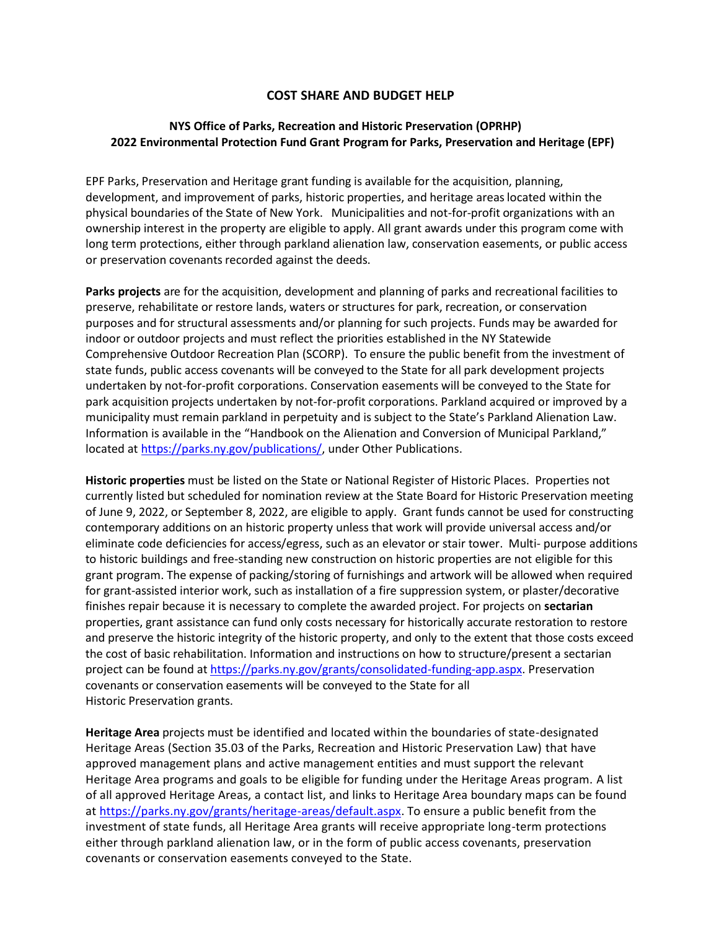### **COST SHARE AND BUDGET HELP**

# **NYS Office of Parks, Recreation and Historic Preservation (OPRHP) 2022 Environmental Protection Fund Grant Program for Parks, Preservation and Heritage (EPF)**

EPF Parks, Preservation and Heritage grant funding is available for the acquisition, planning, development, and improvement of parks, historic properties, and heritage areaslocated within the physical boundaries of the State of New York. Municipalities and not-for-profit organizations with an ownership interest in the property are eligible to apply. All grant awards under this program come with long term protections, either through parkland alienation law, conservation easements, or public access or preservation covenants recorded against the deeds.

**Parks projects** are for the acquisition, development and planning of parks and recreational facilities to preserve, rehabilitate or restore lands, waters or structures for park, recreation, or conservation purposes and for structural assessments and/or planning for such projects. Funds may be awarded for indoor or outdoor projects and must reflect the priorities established in the NY Statewide Comprehensive Outdoor Recreation Plan (SCORP). To ensure the public benefit from the investment of state funds, public access covenants will be conveyed to the State for all park development projects undertaken by not-for-profit corporations. Conservation easements will be conveyed to the State for park acquisition projects undertaken by not-for-profit corporations. Parkland acquired or improved by a municipality must remain parkland in perpetuity and is subject to the State's Parkland Alienation Law. Information is available in the "Handbook on the Alienation and Conversion of Municipal Parkland," located at [https://parks.ny.gov/publications/,](https://parks.ny.gov/publications/) under Other Publications.

**Historic properties** must be listed on the State or National Register of Historic Places. Properties not currently listed but scheduled for nomination review at the State Board for Historic Preservation meeting of June 9, 2022, or September 8, 2022, are eligible to apply. Grant funds cannot be used for constructing contemporary additions on an historic property unless that work will provide universal access and/or eliminate code deficiencies for access/egress, such as an elevator or stair tower. Multi- purpose additions to historic buildings and free-standing new construction on historic properties are not eligible for this grant program. The expense of packing/storing of furnishings and artwork will be allowed when required for grant-assisted interior work, such as installation of a fire suppression system, or plaster/decorative finishes repair because it is necessary to complete the awarded project. For projects on **sectarian**  properties, grant assistance can fund only costs necessary for historically accurate restoration to restore and preserve the historic integrity of the historic property, and only to the extent that those costs exceed the cost of basic rehabilitation. Information and instructions on how to structure/present a sectarian project can be found at [https://parks.ny.gov/grants/consolidated-funding-app.aspx.](https://parks.ny.gov/grants/consolidated-funding-app.aspx) Preservation covenants or conservation easements will be conveyed to the State for all Historic Preservation grants.

**Heritage Area** projects must be identified and located within the boundaries of state-designated Heritage Areas (Section 35.03 of the Parks, Recreation and Historic Preservation Law) that have approved management plans and active management entities and must support the relevant Heritage Area programs and goals to be eligible for funding under the Heritage Areas program. A list of all approved Heritage Areas, a contact list, and links to Heritage Area boundary maps can be found a[t https://parks.ny.gov/grants/heritage-areas/default.aspx.](https://parks.ny.gov/grants/heritage-areas/default.aspx) To ensure a public benefit from the investment of state funds, all Heritage Area grants will receive appropriate long-term protections either through parkland alienation law, or in the form of public access covenants, preservation covenants or conservation easements conveyed to the State.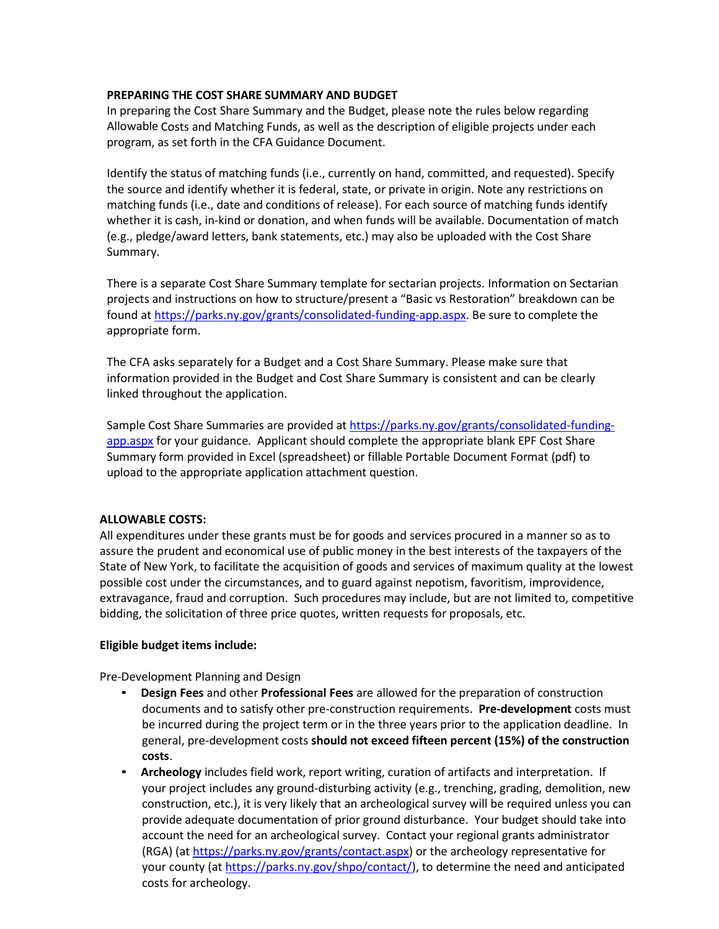### **PREPARING THE COST SHARE SUMMARY AND BUDGET**

In preparing the Cost Share Summary and the Budget, please note the rules below regarding Allowable Costs and Matching Funds, as well as the description of eligible projects under each program, as set forth in the CFA Guidance Document.

Identify the status of matching funds (i.e., currently on hand, committed, and requested). Specify the source and identify whether it is federal, state, or private in origin. Note any restrictions on matching funds (i.e., date and conditions of release). For each source of matching funds identify whether it is cash, in-kind or donation, and when funds will be available. Documentation of match (e.g., pledge/award letters, bank statements, etc.) may also be uploaded with the Cost Share Summary.

There is a separate Cost Share Summary template for sectarian projects. Information on Sectarian projects and instructions on how to structure/present a "Basic vs Restoration" breakdown can be found at [https://parks.ny.gov/grants/consolidated-funding-app.aspx.](https://parks.ny.gov/grants/consolidated-funding-app.aspx) Be sure to complete the appropriate form.

The CFA asks separately for a Budget and a Cost Share Summary. Please make sure that information provided in the Budget and Cost Share Summary is consistent and can be clearly linked throughout the application.

Sample Cost Share Summaries are provided at [https://parks.ny.gov/grants/consolidated-funding](https://parks.ny.gov/grants/consolidated-funding-app.aspx)[app.aspx](https://parks.ny.gov/grants/consolidated-funding-app.aspx) for your guidance. Applicant should complete the appropriate blank EPF Cost Share Summary form provided in Excel (spreadsheet) or fillable Portable Document Format (pdf) to upload to the appropriate application attachment question.

### **ALLOWABLE COSTS:**

All expenditures under these grants must be for goods and services procured in a manner so as to assure the prudent and economical use of public money in the best interests of the taxpayers of the State of New York, to facilitate the acquisition of goods and services of maximum quality at the lowest possible cost under the circumstances, and to guard against nepotism, favoritism, improvidence, extravagance, fraud and corruption. Such procedures may include, but are not limited to, competitive bidding, the solicitation of three price quotes, written requests for proposals, etc.

#### **Eligible budget items include:**

Pre-Development Planning and Design

- **Design Fees** and other **Professional Fees** are allowed for the preparation of construction documents and to satisfy other pre-construction requirements. **Pre-development** costs must be incurred during the project term or in the three years prior to the application deadline. In general, pre-development costs **should not exceed fifteen percent (15%) of the construction costs**.
- **Archeology** includes field work, report writing, curation of artifacts and interpretation. If your project includes any ground-disturbing activity (e.g., trenching, grading, demolition, new construction, etc.), it is very likely that an archeological survey will be required unless you can provide adequate documentation of prior ground disturbance. Your budget should take into account the need for an archeological survey. Contact your regional grants administrator (RGA) (at [https://parks.ny.gov/grants/contact.aspx\)](https://parks.ny.gov/grants/contact.aspx) or the archeology representative for your county (at [https://parks.ny.gov/shpo/contact/\)](https://parks.ny.gov/shpo/contact/), to determine the need and anticipated costs for archeology.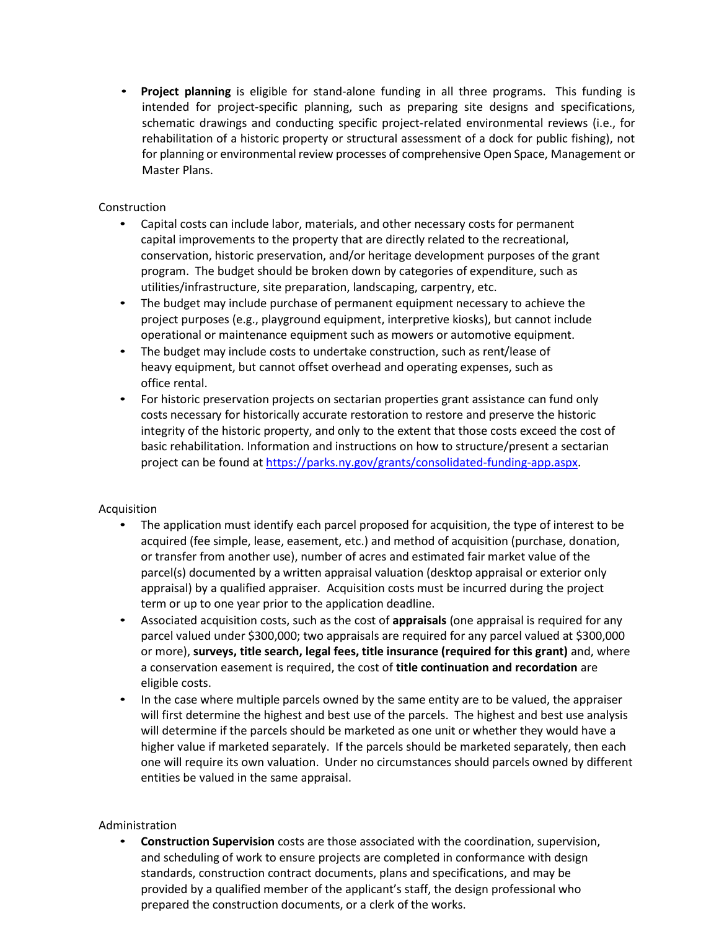• **Project planning** is eligible for stand-alone funding in all three programs. This funding is intended for project-specific planning, such as preparing site designs and specifications, schematic drawings and conducting specific project-related environmental reviews (i.e., for rehabilitation of a historic property or structural assessment of a dock for public fishing), not for planning or environmental review processes of comprehensive Open Space, Management or Master Plans.

### Construction

- Capital costs can include labor, materials, and other necessary costs for permanent capital improvements to the property that are directly related to the recreational, conservation, historic preservation, and/or heritage development purposes of the grant program. The budget should be broken down by categories of expenditure, such as utilities/infrastructure, site preparation, landscaping, carpentry, etc.
- The budget may include purchase of permanent equipment necessary to achieve the project purposes (e.g., playground equipment, interpretive kiosks), but cannot include operational or maintenance equipment such as mowers or automotive equipment.
- The budget may include costs to undertake construction, such as rent/lease of heavy equipment, but cannot offset overhead and operating expenses, such as office rental.
- For historic preservation projects on sectarian properties grant assistance can fund only costs necessary for historically accurate restoration to restore and preserve the historic integrity of the historic property, and only to the extent that those costs exceed the cost of basic rehabilitation. Information and instructions on how to structure/present a sectarian project can be found at [https://parks.ny.gov/grants/consolidated-funding-app.aspx.](https://parks.ny.gov/grants/consolidated-funding-app.aspx)

### Acquisition

- The application must identify each parcel proposed for acquisition, the type of interest to be acquired (fee simple, lease, easement, etc.) and method of acquisition (purchase, donation, or transfer from another use), number of acres and estimated fair market value of the parcel(s) documented by a written appraisal valuation (desktop appraisal or exterior only appraisal) by a qualified appraiser*.* Acquisition costs must be incurred during the project term or up to one year prior to the application deadline.
- Associated acquisition costs, such as the cost of **appraisals** (one appraisal is required for any parcel valued under \$300,000; two appraisals are required for any parcel valued at \$300,000 or more), **surveys, title search, legal fees, title insurance (required for this grant)** and, where a conservation easement is required, the cost of **title continuation and recordation** are eligible costs.
- In the case where multiple parcels owned by the same entity are to be valued, the appraiser will first determine the highest and best use of the parcels. The highest and best use analysis will determine if the parcels should be marketed as one unit or whether they would have a higher value if marketed separately. If the parcels should be marketed separately, then each one will require its own valuation. Under no circumstances should parcels owned by different entities be valued in the same appraisal.

# Administration

• **Construction Supervision** costs are those associated with the coordination, supervision, and scheduling of work to ensure projects are completed in conformance with design standards, construction contract documents, plans and specifications, and may be provided by a qualified member of the applicant's staff, the design professional who prepared the construction documents, or a clerk of the works.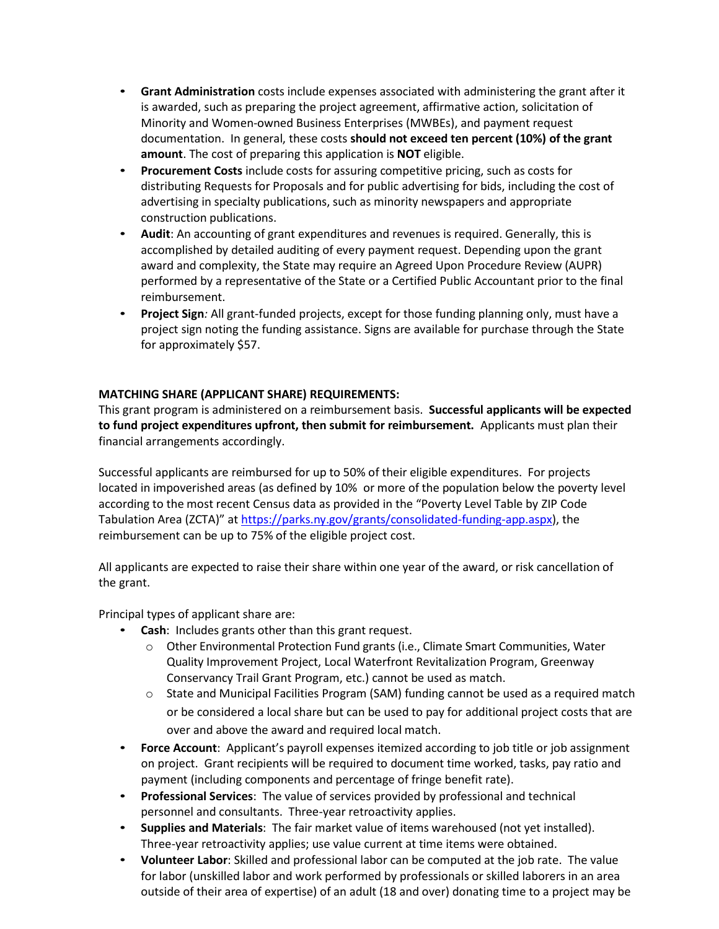- **Grant Administration** costs include expenses associated with administering the grant after it is awarded, such as preparing the project agreement, affirmative action, solicitation of Minority and Women-owned Business Enterprises (MWBEs), and payment request documentation. In general, these costs **should not exceed ten percent (10%) of the grant amount**. The cost of preparing this application is **NOT** eligible.
- **Procurement Costs** include costs for assuring competitive pricing, such as costs for distributing Requests for Proposals and for public advertising for bids, including the cost of advertising in specialty publications, such as minority newspapers and appropriate construction publications.
- **Audit**: An accounting of grant expenditures and revenues is required. Generally, this is accomplished by detailed auditing of every payment request. Depending upon the grant award and complexity, the State may require an Agreed Upon Procedure Review (AUPR) performed by a representative of the State or a Certified Public Accountant prior to the final reimbursement.
- **Project Sign***:* All grant-funded projects, except for those funding planning only, must have a project sign noting the funding assistance. Signs are available for purchase through the State for approximately \$57.

## **MATCHING SHARE (APPLICANT SHARE) REQUIREMENTS:**

This grant program is administered on a reimbursement basis. **Successful applicants will be expected to fund project expenditures upfront, then submit for reimbursement.** Applicants must plan their financial arrangements accordingly.

Successful applicants are reimbursed for up to 50% of their eligible expenditures. For projects located in impoverished areas (as defined by 10% or more of the population below the poverty level according to the most recent Census data as provided in the "Poverty Level Table by ZIP Code Tabulation Area (ZCTA)" at [https://parks.ny.gov/grants/consolidated-funding-app.aspx\)](https://parks.ny.gov/grants/consolidated-funding-app.aspx), the reimbursement can be up to 75% of the eligible project cost.

All applicants are expected to raise their share within one year of the award, or risk cancellation of the grant.

Principal types of applicant share are:

- **Cash:** Includes grants other than this grant request.
	- $\circ$  Other Environmental Protection Fund grants (i.e., Climate Smart Communities, Water Quality Improvement Project, Local Waterfront Revitalization Program, Greenway Conservancy Trail Grant Program, etc.) cannot be used as match.
	- $\circ$  State and Municipal Facilities Program (SAM) funding cannot be used as a required match or be considered a local share but can be used to pay for additional project costs that are over and above the award and required local match.
- **Force Account**: Applicant's payroll expenses itemized according to job title or job assignment on project. Grant recipients will be required to document time worked, tasks, pay ratio and payment (including components and percentage of fringe benefit rate).
- **Professional Services**: The value of services provided by professional and technical personnel and consultants. Three-year retroactivity applies.
- **Supplies and Materials**: The fair market value of items warehoused (not yet installed). Three-year retroactivity applies; use value current at time items were obtained.
- **Volunteer Labor**: Skilled and professional labor can be computed at the job rate. The value for labor (unskilled labor and work performed by professionals or skilled laborers in an area outside of their area of expertise) of an adult (18 and over) donating time to a project may be